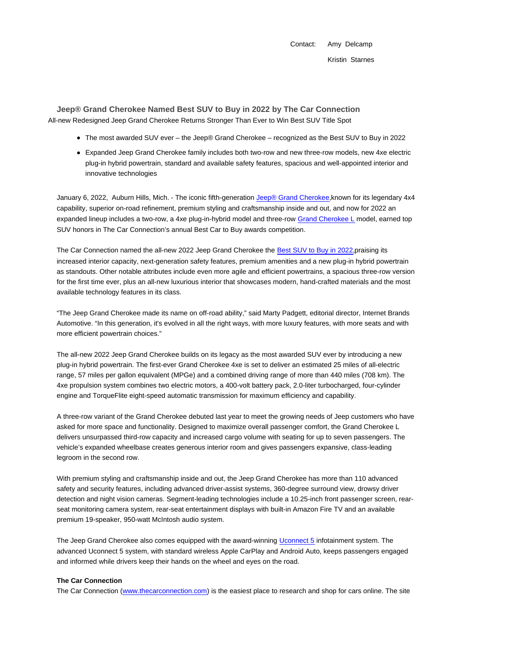Contact: Amy Delcamp Kristin Starnes

**Jeep® Grand Cherokee Named Best SUV to Buy in 2022 by The Car Connection** All-new Redesigned Jeep Grand Cherokee Returns Stronger Than Ever to Win Best SUV Title Spot

- The most awarded SUV ever the Jeep® Grand Cherokee recognized as the Best SUV to Buy in 2022
- Expanded Jeep Grand Cherokee family includes both two-row and new three-row models, new 4xe electric plug-in hybrid powertrain, standard and available safety features, spacious and well-appointed interior and innovative technologies

January 6, 2022, Auburn Hills, Mich. - The iconic fifth-generation Jeep® Grand Cherokee,known for its legendary 4x4 capability, superior on-road refinement, premium styling and craftsmanship inside and out, and now for 2022 an expanded lineup includes a two-row, a 4xe plug-in-hybrid model and three-row Grand Cherokee L model, earned top SUV honors in The Car Connection's annual Best Car to Buy awards competition.

The Car Connection named the all-new 2022 Jeep Grand Cherokee the Best SUV to Buy in 2022, praising its increased interior capacity, next-generation safety features, premium amenities and a new plug-in hybrid powertrain as standouts. Other notable attributes include even more agile and efficient powertrains, a spacious three-row version for the first time ever, plus an all-new luxurious interior that showcases modern, hand-crafted materials and the most available technology features in its class.

"The Jeep Grand Cherokee made its name on off-road ability," said Marty Padgett, editorial director, Internet Brands Automotive. "In this generation, it's evolved in all the right ways, with more luxury features, with more seats and with more efficient powertrain choices."

The all-new 2022 Jeep Grand Cherokee builds on its legacy as the most awarded SUV ever by introducing a new plug-in hybrid powertrain. The first-ever Grand Cherokee 4xe is set to deliver an estimated 25 miles of all-electric range, 57 miles per gallon equivalent (MPGe) and a combined driving range of more than 440 miles (708 km). The 4xe propulsion system combines two electric motors, a 400-volt battery pack, 2.0-liter turbocharged, four-cylinder engine and TorqueFlite eight-speed automatic transmission for maximum efficiency and capability.

A three-row variant of the Grand Cherokee debuted last year to meet the growing needs of Jeep customers who have asked for more space and functionality. Designed to maximize overall passenger comfort, the Grand Cherokee L delivers unsurpassed third-row capacity and increased cargo volume with seating for up to seven passengers. The vehicle's expanded wheelbase creates generous interior room and gives passengers expansive, class-leading legroom in the second row.

With premium styling and craftsmanship inside and out, the Jeep Grand Cherokee has more than 110 advanced safety and security features, including advanced driver-assist systems, 360-degree surround view, drowsy driver detection and night vision cameras. Segment-leading technologies include a 10.25-inch front passenger screen, rearseat monitoring camera system, rear-seat entertainment displays with built-in Amazon Fire TV and an available premium 19-speaker, 950-watt McIntosh audio system.

The Jeep Grand Cherokee also comes equipped with the award-winning Uconnect 5 infotainment system. The advanced Uconnect 5 system, with standard wireless Apple CarPlay and Android Auto, keeps passengers engaged and informed while drivers keep their hands on the wheel and eyes on the road.

## **The Car Connection**

The Car Connection (www.thecarconnection.com) is the easiest place to research and shop for cars online. The site